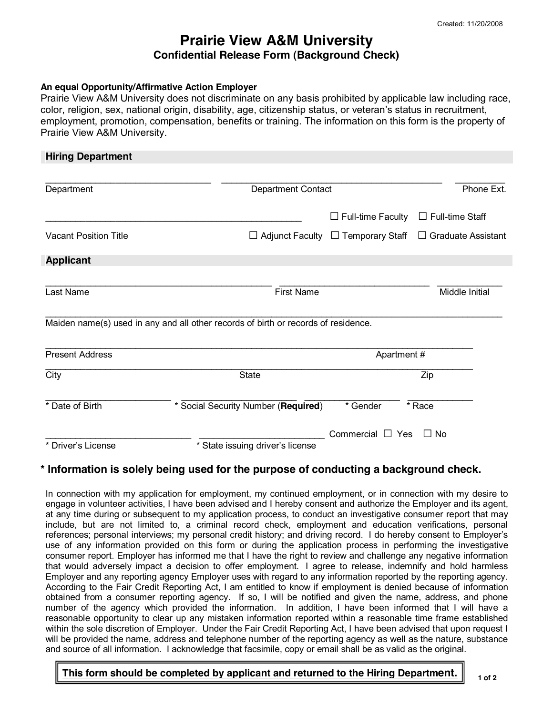# **Prairie View A&M University Confidential Release Form (Background Check)**

#### **An equal Opportunity/Affirmative Action Employer**

Prairie View A&M University does not discriminate on any basis prohibited by applicable law including race, color, religion, sex, national origin, disability, age, citizenship status, or veteran's status in recruitment, employment, promotion, compensation, benefits or training. The information on this form is the property of Prairie View A&M University.

| <b>Hiring Department</b>     |                                                                                                         |                          |                           |  |
|------------------------------|---------------------------------------------------------------------------------------------------------|--------------------------|---------------------------|--|
| Department                   | <b>Department Contact</b>                                                                               |                          | Phone Ext.                |  |
|                              |                                                                                                         | $\Box$ Full-time Faculty | $\Box$ Full-time Staff    |  |
| <b>Vacant Position Title</b> | $\Box$ Adjunct Faculty                                                                                  | $\Box$ Temporary Staff   | $\Box$ Graduate Assistant |  |
| <b>Applicant</b>             |                                                                                                         |                          |                           |  |
| Last Name                    | <b>First Name</b><br>Maiden name(s) used in any and all other records of birth or records of residence. |                          | Middle Initial            |  |
| <b>Present Address</b>       | Apartment#                                                                                              |                          |                           |  |
| City                         | <b>State</b>                                                                                            | Zip                      |                           |  |
| * Date of Birth              | * Social Security Number (Required)                                                                     | * Gender                 | * Race                    |  |
|                              |                                                                                                         | Commercial $\Box$ Yes    | $\Box$ No                 |  |
| * Driver's License           | * State issuing driver's license                                                                        |                          |                           |  |

### **\* Information is solely being used for the purpose of conducting a background check.**

In connection with my application for employment, my continued employment, or in connection with my desire to engage in volunteer activities, I have been advised and I hereby consent and authorize the Employer and its agent, at any time during or subsequent to my application process, to conduct an investigative consumer report that may include, but are not limited to, a criminal record check, employment and education verifications, personal references; personal interviews; my personal credit history; and driving record. I do hereby consent to Employer's use of any information provided on this form or during the application process in performing the investigative consumer report. Employer has informed me that I have the right to review and challenge any negative information that would adversely impact a decision to offer employment. I agree to release, indemnify and hold harmless Employer and any reporting agency Employer uses with regard to any information reported by the reporting agency. According to the Fair Credit Reporting Act, I am entitled to know if employment is denied because of information obtained from a consumer reporting agency. If so, I will be notified and given the name, address, and phone number of the agency which provided the information. In addition, I have been informed that I will have a reasonable opportunity to clear up any mistaken information reported within a reasonable time frame established within the sole discretion of Employer. Under the Fair Credit Reporting Act, I have been advised that upon request I will be provided the name, address and telephone number of the reporting agency as well as the nature, substance and source of all information. I acknowledge that facsimile, copy or email shall be as valid as the original.

## This form should be completed by applicant and returned to the Hiring Department.  $\|\cdot\|_{1.0^f2}$